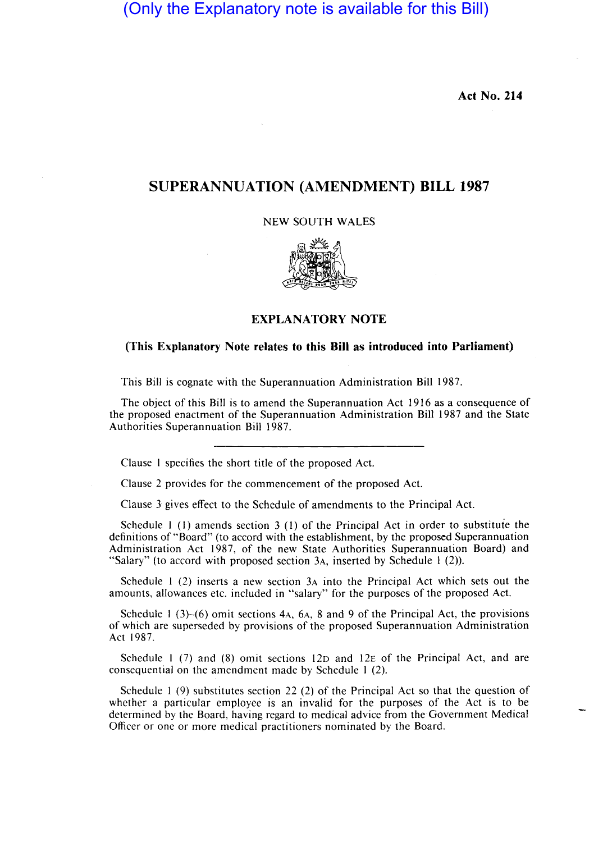(Only the Explanatory note is available for this Bill)

**Act No. 214** 

## **SUPERANNUATION (AMENDMENT) BILL 1987**

NEW SOUTH WALES



## **EXPLANATORY NOTE**

## **(This Explanatory Note relates to this Bill as introduced into Parliament)**

This Bill is cognate with the Superannuation Administration Bill 1987.

The object of this Bill is to amend the Superannuation Act 1916 as a consequence of the proposed enactment of the Superannuation Administration Bill 1987 and the State Authorities Superannuation Bill 1987.

Clause I specifies the short title of the proposed Act.

Clause 2 provides for the commencement of the proposed Act.

Clause 3 gives effect to the Schedule of amendments to the Principal Act.

Schedule I (I) amends section 3 (I) of the Principal Act in order to substitute the definitions of "Board" (to accord with the establishment, by the proposed Superannuation Administration Act 1987, of the new State Authorities Superannuation Board) and "Salary" (to accord with proposed section 3A, inserted by Schedule 1 (2)).

Schedule I (2) inserts a new section 3A into the Principal Act which sets out the amounts. allowances etc. included in "salary" for the purposes of the proposed Act.

Schedule I (3)-(6) omit sections 4A, 6A, 8 and 9 of the Principal Act, the provisions of which are superseded by provisions of the proposed Superannuation Administration Act 1987.

Schedule 1 (7) and (8) omit sections  $12D$  and  $12E$  of the Principal Act, and are consequential on the amendment made by Schedule I (2).

Schedule I (9) substitutes section 22 (2) of the Principal Act so that the question of whether a particular employee is an invalid for the purposes of the Act is to be determined by the Board. having regard to medical advice from the Government Medical Officer or one or more medical practitioners nominated by the Board.